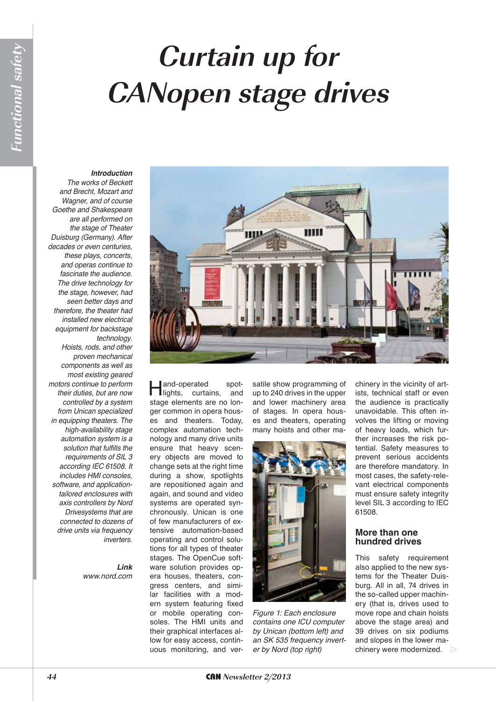# **Curtain up for CANopen stage drives**

## *Introduction*

*The works of Beckett and Brecht, Mozart and Wagner, and of course Goethe and Shakespeare are all performed on the stage of Theater Duisburg (Germany). After decades or even centuries, these plays, concerts, and operas continue to fascinate the audience. The drive technology for the stage, however, had seen better days and therefore, the theater had installed new electrical equipment for backstage technology. Hoists, rods, and other proven mechanical components as well as most existing geared motors continue to perform their duties, but are now controlled by a system from Unican specialized in equipping theaters. The high-availability stage automation system is a solution that fulfills the requirements of SIL 3 according IEC 61508. It includes HMI consoles, software, and applicationtailored enclosures with axis controllers by Nord Drivesystems that are connected to dozens of drive units via frequency inverters.*

> *Link www.nord.com*



**Hand-operated** spot-<br>lights, curtains, and stage elements are no longer common in opera houses and theaters. Today, complex automation technology and many drive units ensure that heavy scenery objects are moved to change sets at the right time during a show, spotlights are repositioned again and again, and sound and video systems are operated synchronously. Unican is one of few manufacturers of extensive automation-based operating and control solutions for all types of theater stages. The OpenCue software solution provides opera houses, theaters, congress centers, and similar facilities with a modern system featuring fixed or mobile operating consoles. The HMI units and their graphical interfaces allow for easy access, continuous monitoring, and ver-

satile show programming of up to 240 drives in the upper and lower machinery area of stages. In opera houses and theaters, operating many hoists and other ma-



*Figure 1: Each enclosure contains one ICU computer by Unican (bottom left) and an SK 535 frequency inverter by Nord (top right)*

chinery in the vicinity of artists, technical staff or even the audience is practically unavoidable. This often involves the lifting or moving of heavy loads, which further increases the risk potential. Safety measures to prevent serious accidents are therefore mandatory. In most cases, the safety-relevant electrical components must ensure safety integrity level SIL 3 according to IEC 61508.

## **More than one hundred drives**

This safety requirement also applied to the new systems for the Theater Duisburg. All in all, 74 drives in the so-called upper machinery (that is, drives used to move rope and chain hoists above the stage area) and 39 drives on six podiums and slopes in the lower machinery were modernized.  $\triangleright$